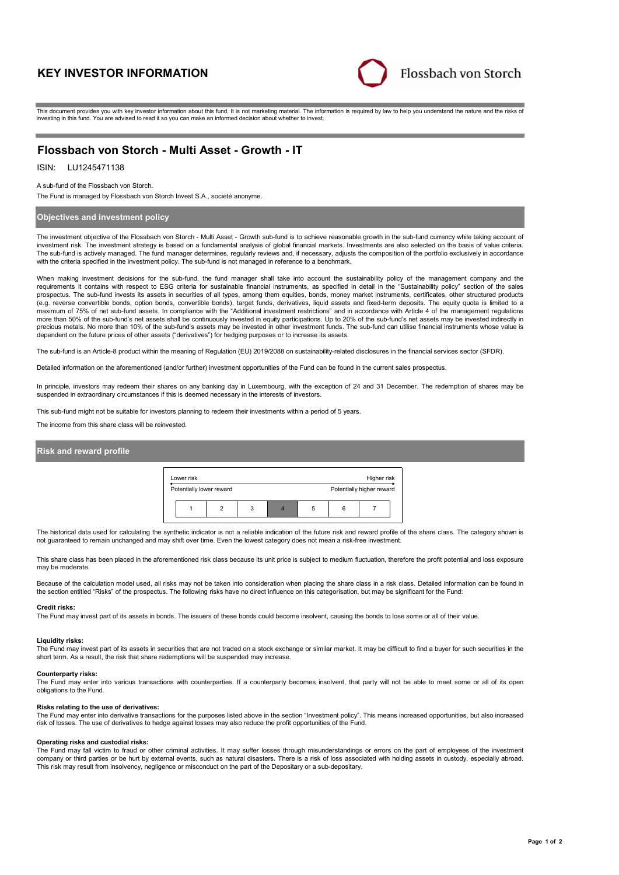# **KEY INVESTOR INFORMATION**



This document provides you with key investor information about this fund. It is not marketing material. The information is required by law to help you understand the nature and the risks of investing in this fund. You are advised to read it so you can make an informed decision about whether to invest.

# **Flossbach von Storch - Multi Asset - Growth - IT**

## ISIN: LU1245471138

A sub-fund of the Flossbach von Storch.

The Fund is managed by Flossbach von Storch Invest S.A., société anonyme.

### **Objectives and investment policy**

The investment objective of the Flossbach von Storch - Multi Asset - Growth sub-fund is to achieve reasonable growth in the sub-fund currency while taking account of investment risk. The investment strategy is based on a fundamental analysis of global financial markets. Investments are also selected on the basis of value criteria. The sub-fund is actively managed. The fund manager determines, regularly reviews and, if necessary, adjusts the composition of the portfolio exclusively in accordance with the criteria specified in the investment policy. The sub-fund is not managed in reference to a benchmark.

When making investment decisions for the sub-fund, the fund manager shall take into account the sustainability policy of the management company and the requirements it contains with respect to ESG criteria for sustainable financial instruments, as specified in detail in the "Sustainability policy" section of the sales prospectus. The sub-fund invests its assets in securities of all types, among them equities, bonds, money market instruments, certificates, other structured products (e.g. reverse convertible bonds, option bonds, convertible bonds), target funds, derivatives, liquid assets and fixed-term deposits. The equity quota is limited to a maximum of 75% of net sub-fund assets. In compliance with the "Additional investment restrictions" and in accordance with Article 4 of the management regulations more than 50% of the sub-fund's net assets shall be continuously invested in equity participations. Up to 20% of the sub-fund's net assets may be invested indirectly in precious metals. No more than 10% of the sub-fund's assets may be invested in other investment funds. The sub-fund can utilise financial instruments whose value is dependent on the future prices of other assets ("derivatives") for hedging purposes or to increase its assets.

The sub-fund is an Article-8 product within the meaning of Regulation (EU) 2019/2088 on sustainability-related disclosures in the financial services sector (SFDR).

Detailed information on the aforementioned (and/or further) investment opportunities of the Fund can be found in the current sales prospectus.

In principle, investors may redeem their shares on any banking day in Luxembourg, with the exception of 24 and 31 December. The redemption of shares may be suspended in extraordinary circumstances if this is deemed necessary in the interests of investors.

This sub-fund might not be suitable for investors planning to redeem their investments within a period of 5 years.

The income from this share class will be reinvested.

### **Risk and reward profile**



The historical data used for calculating the synthetic indicator is not a reliable indication of the future risk and reward profile of the share class. The category shown is not guaranteed to remain unchanged and may shift over time. Even the lowest category does not mean a risk-free investment.

This share class has been placed in the aforementioned risk class because its unit price is subject to medium fluctuation, therefore the profit potential and loss exposure may be moderate.

Because of the calculation model used, all risks may not be taken into consideration when placing the share class in a risk class. Detailed information can be found in the section entitled "Risks" of the prospectus. The following risks have no direct influence on this categorisation, but may be significant for the Fund:

#### **Credit risks:**

The Fund may invest part of its assets in bonds. The issuers of these bonds could become insolvent, causing the bonds to lose some or all of their value.

#### **Liquidity risks:**

The Fund may invest part of its assets in securities that are not traded on a stock exchange or similar market. It may be difficult to find a buyer for such securities in the short term. As a result, the risk that share redemptions will be suspended may increase.

#### **Counterparty risks:**

The Fund may enter into various transactions with counterparties. If a counterparty becomes insolvent, that party will not be able to meet some or all of its open obligations to the Fund.

#### **Risks relating to the use of derivatives:**

The Fund may enter into derivative transactions for the purposes listed above in the section "Investment policy". This means increased opportunities, but also increased risk of losses. The use of derivatives to hedge against losses may also reduce the profit opportunities of the Fund.

#### **Operating risks and custodial risks:**

The Fund may fall victim to fraud or other criminal activities. It may suffer losses through misunderstandings or errors on the part of employees of the investment company or third parties or be hurt by external events, such as natural disasters. There is a risk of loss associated with holding assets in custody, especially abroad. This risk may result from insolvency, negligence or misconduct on the part of the Depositary or a sub-depositary.